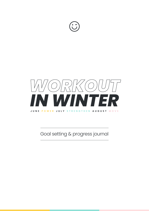



Goal setting & progress journal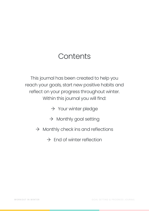### **Contents**

This journal has been created to help you reach your goals, start new positive habits and reflect on your progress throughout winter. Within this journal you will find:

 $\rightarrow$  Your winter pledge

- $\rightarrow$  Monthly goal setting
- $\rightarrow$  Monthly check ins and reflections
	- $\rightarrow$  End of winter reflection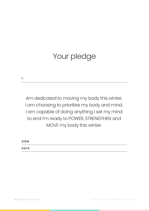## Your pledge

**I,** 

Am dedicated to moving my body this winter. I am choosing to prioritise my body and mind. I am capable of doing anything I set my mind to and I'm ready to POWER, STRENGTHEN and MOVE my body this winter.

**SIGN DATE**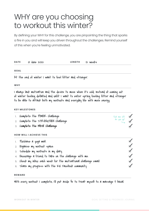### WHY are you choosing to workout this winter?

By defining your WHY for this challenge, you are pinpointing the thing that sparks a fire in you and will keep you driven throughout the challenges. Remind yourself of this when you're feeling unmotivated.

| <b>DATE</b> | 01 June 2022 | LENGTH 12 WEEKS |  |
|-------------|--------------|-----------------|--|
|             |              |                 |  |
| <b>GOAL</b> |              |                 |  |
|             |              |                 |  |

At the end of winter I want to feel fitter and stronger.

**WHY**

I always lack motivation and the desire to move when it's cold. Instead of coming out of winter feeling deflated and unfit I want to enter spring feeling fitter and stronger to be able to attack both my workouts and everyday life with more energy.

#### **KEY MILESTONES**

| 1. Complete the POWER Challenge                                  | Tick me off $\sigma$                                                       |                        |
|------------------------------------------------------------------|----------------------------------------------------------------------------|------------------------|
| 2. Complete the STR-ENGTHEN Challenge                            | $\overline{a}$ $\overline{a}$ $\overline{a}$ $\overline{a}$ $\overline{a}$ |                        |
| 3. Complete the MOVE Challenge                                   |                                                                            |                        |
| <b>HOW WILL I ACHIEVE THIS</b>                                   |                                                                            |                        |
| 1. Purchase a yoga mat.                                          |                                                                            |                        |
| 2. Organise my workout space.                                    |                                                                            | $\mathbf{\mathcal{A}}$ |
| 3. Schedule my workouts in my diary.                             |                                                                            | $\mathcal{A}$          |
| 4. Encourage a friend to take on the challenge with me.          |                                                                            | $\mathcal{J}$          |
| 5. Check my inbox each week for the motivational challenge email |                                                                            | $\mathcal{J}$          |
| 6. Share my progress with the KIC Facebook community             |                                                                            |                        |

#### **REWARD**

With every workout I complete, I'll put aside \$5 to treat myself to a massage & facial.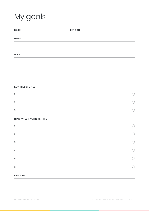# My goals

| <b>DATE</b> | <b>LENGTH</b> |  |
|-------------|---------------|--|
| <b>GOAL</b> |               |  |
|             |               |  |
|             |               |  |
| <b>WHY</b>  |               |  |

#### **KEY MILESTONES**

| $\mathbf{L}$ | $\bigcirc$ |
|--------------|------------|
| 2.           | $\bigcirc$ |
| 3.           | $\bigcirc$ |

#### **HOW WILL I ACHIEVE THIS**

| $\mathcal{I}.$ |      |
|----------------|------|
| 2.             |      |
| 3.             | in 1 |
| 4.             |      |
| 5.             | h.   |
| 6.             |      |
| <b>REWARD</b>  |      |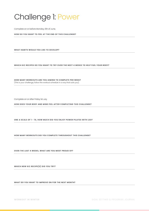### Challenge 1: Power

Complete on or before Monday, 6th of June.

**HOW DO YOU WANT TO FEEL AT THE END OF THIS CHALLENGE?**

**WHAT HABITS WOULD YOU LIKE TO DEVELOP?**

**WHICH KIC RECIPES DO YOU WANT TO TRY OVER THE NEXT 4 WEEKS TO HELP FUEL YOUR BODY?**

**HOW MANY WORKOUTS ARE YOU AIMING TO COMPLETE PER WEEK?**  (This is your challenge, follow the workout schedule in a way that suits you).

Complete on or after Friday 1st July.

**HOW DOES YOUR BODY AND MIND FEEL AFTER COMPLETING THIS CHALLENGE?** 

**ONE A SCALE OF 1 - 10, HOW MUCH DID YOU ENJOY POWER PILATES WITH LEO?**

**HOW MANY WORKOUTS DID YOU COMPLETE THROUGHOUT THIS CHALLENGE?**

**OVER THE LAST 4 WEEKS, WHAT ARE YOU MOST PROUD OF?**

**WHICH NEW KIC RECIPE(S) DID YOU TRY?**

**WHAT DO YOU WANT TO IMPROVE ON FOR THE NEXT MONTH?**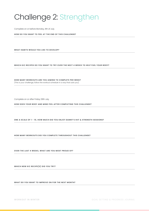### Challenge 2: Strengthen

Complete on or before Monday, 4th of July.

**HOW DO YOU WANT TO FEEL AT THE END OF THIS CHALLENGE?**

**WHAT HABITS WOULD YOU LIKE TO DEVELOP?**

**WHICH KIC RECIPES DO YOU WANT TO TRY OVER THE NEXT 4 WEEKS TO HELP FUEL YOUR BODY?**

**HOW MANY WORKOUTS ARE YOU AIMING TO COMPLETE PER WEEK?**  (This is your challenge, follow the workout schedule in a way that suits you).

Complete on or after Friday 29th July.

**HOW DOES YOUR BODY AND MIND FEEL AFTER COMPLETING THIS CHALLENGE?** 

**ONE A SCALE OF 1 - 10, HOW MUCH DID YOU ENJOY DANNY'S HIIT & STRENGTH SESSIONS?** 

**HOW MANY WORKOUTS DID YOU COMPLETE THROUGHOUT THIS CHALLENGE?**

**OVER THE LAST 4 WEEKS, WHAT ARE YOU MOST PROUD OF?**

**WHICH NEW KIC RECIPE(S) DID YOU TRY?**

**WHAT DO YOU WANT TO IMPROVE ON FOR THE NEXT MONTH?**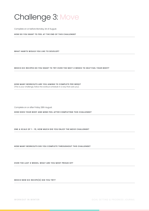### Challenge 3: Move

Complete on or before Monday, 1st of August.

**HOW DO YOU WANT TO FEEL AT THE END OF THIS CHALLENGE?**

**WHAT HABITS WOULD YOU LIKE TO DEVELOP?**

**WHICH KIC RECIPES DO YOU WANT TO TRY OVER THE NEXT 4 WEEKS TO HELP FUEL YOUR BODY?**

**HOW MANY WORKOUTS ARE YOU AIMING TO COMPLETE PER WEEK?**  (This is your challenge, follow the workout schedule in a way that suits you).

Complete on or after Friday 28th August.

**HOW DOES YOUR BODY AND MIND FEEL AFTER COMPLETING THIS CHALLENGE?** 

**ONE A SCALE OF 1 - 10, HOW MUCH DID YOU ENJOY THE MOVE CHALLENGE?** 

**HOW MANY WORKOUTS DID YOU COMPLETE THROUGHOUT THIS CHALLENGE?**

**OVER THE LAST 4 WEEKS, WHAT ARE YOU MOST PROUD OF?**

**WHICH NEW KIC RECIPE(S) DID YOU TRY?**